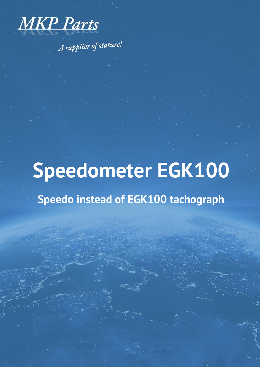

A supplier of stature!

# **Speedometer EGK100**

# **Speedo instead of EGK100 tachograph**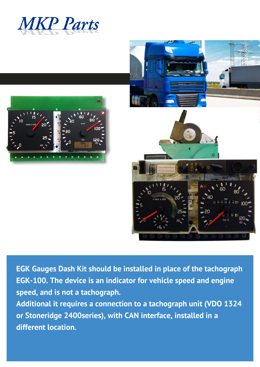





**EGK Gauges Dash Kit should be installed in place of the tachograph EGK-100. The device is an indicator for vehicle speed and engine speed, and is not a tachograph.** 

**Additional it requires a connection to a tachograph unit (VDO 1324 or Stoneridge 2400series), with CAN interface, installed in a different location.**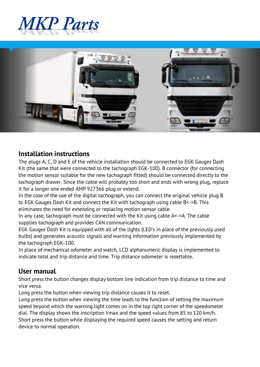



#### **Installation instructions**

The plugs A, C, D and E of the vehicle installation should be connected to EGK Gauges Dash Kit (the same that were connected to the tachograph EGK-100). B connector (for connecting the motion sensor suitable for the new tachograph fitted) should be connected directly to the tachograph drawer. Since the cable will probably too short and ends with wrong plug, replace it for a longer one ended AMP 927366 plug or extend.

In the case of the use of the digital tachograph, you can connect the original vehicle plug B to EGK Gauges Dash Kit and connect the Kit with tachograph using cable B<->B. This eliminates the need for extending or replacing motion sensor cable.

In any case, tachograph must be connected with the Kit using cable A<->A. The cable supplies tachograph and provides CAN communication.

EGK Gauges Dash Kit is equipped with all of the lights (LED's in place of the previously used bulbs) and generates acoustic signals and warning information previously implemented by the tachograph EGK-100.

In place of mechanical odometer and watch, LCD alphanumeric display is implemented to indicate total and trip distance and time. Trip distance odometer is resettable.

#### **User manual**

Short press the button changes display bottom line indication from trip distance to time and vice versa.

Long press the button when viewing trip distance causes it to reset.

Long press the button when viewing the time leads to the function of setting the maximum speed beyond which the warning light comes on in the top right corner of the speedometer dial. The display shows the inscription Vmax and the speed values from 85 to 120 km/h. Short press the button while displaying the required speed causes the setting and return device to normal operation.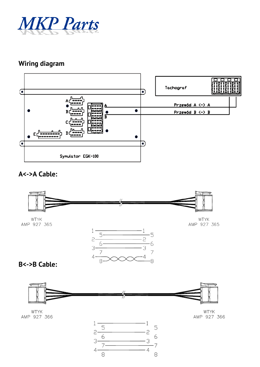

# **Wiring diagram**



### **A<->A Cable:**